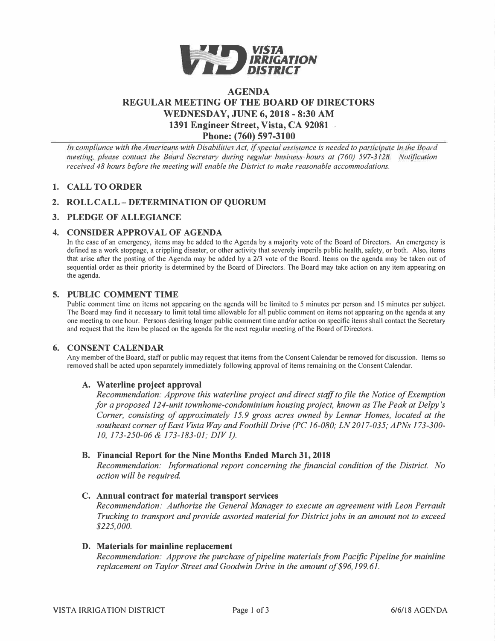

# **AGENDA REGULAR MEETING OF THE BOARD OF DIRECTORS WEDNESDAY, JUNE 6, 2018 - 8:30 AM 1391 Engineer Street, Vista, CA 92081 Phone: (760) 597-3100**

*In compliance with the Americans with Disabilities Act, if special assistance is needed to participate in the Board meeting, please contact the Board Secretary during regular business hours at (760) 597-3128. Notification received 48 hours before the meeting will enable the District to make reasonable accommodations.* 

# **1. CALL TO ORDER**

# **2. ROLL CALL - DETERMINATION OF QUORUM**

## **3. PLEDGE OF ALLEGIANCE**

## **4. CONSIDER APPROVAL OF AGENDA**

In the case of an emergency, items may be added to the Agenda by a majority vote of the Board of Directors. An emergency is defined as a work stoppage, a crippling disaster, or other activity that severely imperils public health, safety, or both. Also, items that arise after the posting of the Agenda may be added by a 2/3 vote of the Board. Items on the agenda may be taken out of sequential order as their priority is determined by the Board of Directors. The Board may take action on any item appearing on the agenda.

## **5. PUBLIC COMMENT TIME**

Public comment time on items not appearing on the agenda will be limited to *5* minutes per person and I *5* minutes per subject. The Board may find it necessary to limit total time allowable for all public comment on items not appearing on the agenda at any one meeting to one hour. Persons desiring longer public comment time and/or action on specific items shall contact the Secretary and request that the item be placed on the agenda for the next regular meeting of the Board of Directors.

### **6. CONSENT CALENDAR**

Any member of the Board, staff or public may request that items from the Consent Calendar be removed for discussion. Items so removed shall be acted upon separately immediately following approval of items remaining on the Consent Calendar.

### **A. Waterline project approval**

*Recommendation: Approve this waterline project and direct staff to file the Notice of Exemption for a proposed 124-unit townhome-condominium housing project, known as The Peak at Delpy 's Corner, consisting of approximately 15. 9 gross acres owned by Lennar Homes, located at the southeast corner of East Vista Way and Foothill Drive (PC 16-080; LN 2017-035; APNs 173-300- 10, 173-250-06 & 173-183-01; DIV 1).*

### **B. Financial Report for the Nine Months Ended March 31, 2018**

*Recommendation: Informational report concerning the financial condition of the District. No action will be required*

### **C. Annual contract for material transport services**

*Recommendation: Authorize the General Manager to execute an agreement with Leon Perrault Trucking to transport and provide assorted material for District jobs in an amount not to exceed \$225,000.*

### **D. Materials for mainline replacement**

*Recommendation: Approve the purchase of pipeline materials from Pacific Pipeline for mainline replacement on Taylor Street and Goodwin Drive in the amount of\$96,199.61.*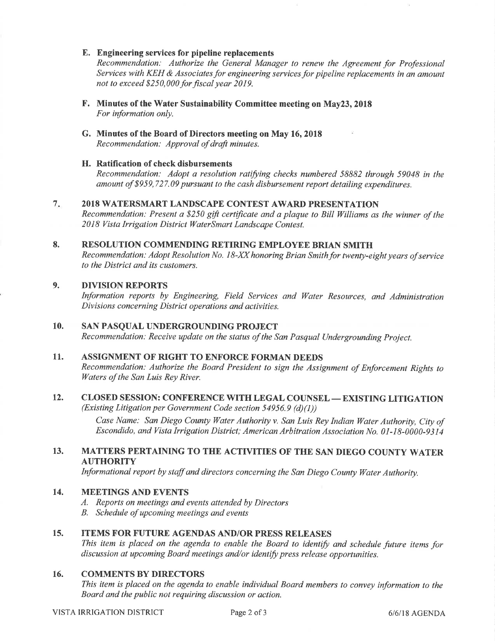### E. Engineering services for pipeline replacements

Recommendation: Authorize the General Manager to renew the Agreement for Professional Services with KEH  $\&$  Associates for engineering services for pipeline replacements in an amount not to exceed \$250,000 for fiscal year 2019.

- F. Minutes of the Water Sustainability Committee meeting on May23, 2018 For information only.
- G. MÍnutes of the Board of Directors meeting on May 16,2018 Recommendation: Approval of draft minutes.

## H. Ratification of check disbursements

Recommendation: Adopt a resolution ratifying checks numbered 58882 through 59048 in the amount of \$959,727.09 pursuant to the cash disbursement report detailing expenditures.

#### $7.$ 2018 WATERSMART LANDSCAPB CONTEST AWARD PRESENTATION

Recommendation: Present a \$250 gift certificate and a plaque to Bill Williams as the winner of the 2018 Vista Irrigation District WaterSmart Landscape Contest.

#### RESOLUTION COMMENDING RETIRING EMPLOYEE BRIAN SMITH 8.

Recommendation: Adopt Resolution No. 18-XX honoring Brian Smith for twenty-eight years of service to the District and its customers.

#### DIVISION REPORTS 9.

Information reports by Engineering, Field Services and Water Resources, and Administration Divisions concerning District operations and activities.

#### SAN PASQUAL UNDERGROUNDING PROJECT 10.

Recommendation: Receive update on the status of the San Pasqual Undergrounding Project.

#### ASSIGNMENT OF RIGHT TO ENFORCE FORMAN DEEDS 11.

Recommendation: Authorize the Board President to sign the Assignment of Enforcement Rights to Waters of the San Luis Rey River.

### CLOSED SESSION: CONFERENCE WITH LEGAL COUNSEL — EXISTING LITIGATION<br>(Existing Litigation per Government Code section 54956.9 (d)(1)) 12.

(Existing Litigation per Government Code section 54956.9 (d)(l))

Case Name: San Diego County Water Authority v. San Luis Rey Indian Water Authority, City of Escondido, and Vista lrrigation District; American Arbitration Association No. 0t-18-0000-9314

### MATTERS PERTAINING TO THE ACTIVITIES OF THE SAN DIEGO COUNTY WATER AUTHORITY 13.

Informational report by staff and directors concerning the San Diego County Water Authority.

#### MEETINGS AND EVENTS t4.

- A. Reports on meetings and events attended by Directors
- B. Schedule of upcoming meetings and events

#### ITEMS FOR FUTURE AGENDAS AND/OR PRESS RELEASES 15.

This item is placed on the agenda to enable the Board to identify and schedule future items for discussion at upcoming Board meetings and/or identify press release opportunities.

#### COMMENTS BY DIRECTORS 16.

This item is placed on the agenda to enable individual Board members to convey information to the Board and the public not requiring discussion or action.